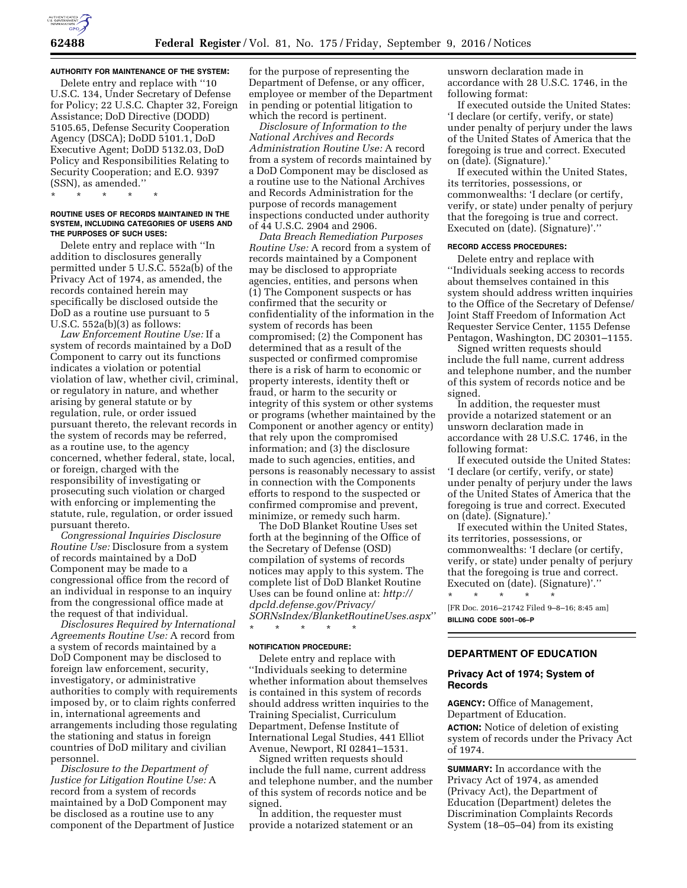**AUTHORITY FOR MAINTENANCE OF THE SYSTEM:** 

Delete entry and replace with ''10 U.S.C. 134, Under Secretary of Defense for Policy; 22 U.S.C. Chapter 32, Foreign Assistance; DoD Directive (DODD) 5105.65, Defense Security Cooperation Agency (DSCA); DoDD 5101.1, DoD Executive Agent; DoDD 5132.03, DoD Policy and Responsibilities Relating to Security Cooperation; and E.O. 9397 (SSN), as amended.''

\* \* \* \* \*

#### **ROUTINE USES OF RECORDS MAINTAINED IN THE SYSTEM, INCLUDING CATEGORIES OF USERS AND THE PURPOSES OF SUCH USES:**

Delete entry and replace with ''In addition to disclosures generally permitted under 5 U.S.C. 552a(b) of the Privacy Act of 1974, as amended, the records contained herein may specifically be disclosed outside the DoD as a routine use pursuant to 5 U.S.C.  $552a(b)(3)$  as follows:

*Law Enforcement Routine Use:* If a system of records maintained by a DoD Component to carry out its functions indicates a violation or potential violation of law, whether civil, criminal, or regulatory in nature, and whether arising by general statute or by regulation, rule, or order issued pursuant thereto, the relevant records in the system of records may be referred, as a routine use, to the agency concerned, whether federal, state, local, or foreign, charged with the responsibility of investigating or prosecuting such violation or charged with enforcing or implementing the statute, rule, regulation, or order issued pursuant thereto.

*Congressional Inquiries Disclosure Routine Use:* Disclosure from a system of records maintained by a DoD Component may be made to a congressional office from the record of an individual in response to an inquiry from the congressional office made at the request of that individual.

*Disclosures Required by International Agreements Routine Use:* A record from a system of records maintained by a DoD Component may be disclosed to foreign law enforcement, security, investigatory, or administrative authorities to comply with requirements imposed by, or to claim rights conferred in, international agreements and arrangements including those regulating the stationing and status in foreign countries of DoD military and civilian personnel.

*Disclosure to the Department of Justice for Litigation Routine Use:* A record from a system of records maintained by a DoD Component may be disclosed as a routine use to any component of the Department of Justice

for the purpose of representing the Department of Defense, or any officer, employee or member of the Department in pending or potential litigation to which the record is pertinent.

*Disclosure of Information to the National Archives and Records Administration Routine Use:* A record from a system of records maintained by a DoD Component may be disclosed as a routine use to the National Archives and Records Administration for the purpose of records management inspections conducted under authority of 44 U.S.C. 2904 and 2906.

*Data Breach Remediation Purposes Routine Use:* A record from a system of records maintained by a Component may be disclosed to appropriate agencies, entities, and persons when (1) The Component suspects or has confirmed that the security or confidentiality of the information in the system of records has been compromised; (2) the Component has determined that as a result of the suspected or confirmed compromise there is a risk of harm to economic or property interests, identity theft or fraud, or harm to the security or integrity of this system or other systems or programs (whether maintained by the Component or another agency or entity) that rely upon the compromised information; and (3) the disclosure made to such agencies, entities, and persons is reasonably necessary to assist in connection with the Components efforts to respond to the suspected or confirmed compromise and prevent, minimize, or remedy such harm.

The DoD Blanket Routine Uses set forth at the beginning of the Office of the Secretary of Defense (OSD) compilation of systems of records notices may apply to this system. The complete list of DoD Blanket Routine Uses can be found online at: *[http://](http://dpcld.defense.gov/Privacy/SORNsIndex/BlanketRoutineUses.aspx) [dpcld.defense.gov/Privacy/](http://dpcld.defense.gov/Privacy/SORNsIndex/BlanketRoutineUses.aspx) [SORNsIndex/BlanketRoutineUses.aspx](http://dpcld.defense.gov/Privacy/SORNsIndex/BlanketRoutineUses.aspx)*'' \* \* \* \* \*

#### **NOTIFICATION PROCEDURE:**

Delete entry and replace with ''Individuals seeking to determine whether information about themselves is contained in this system of records should address written inquiries to the Training Specialist, Curriculum Department, Defense Institute of International Legal Studies, 441 Elliot Avenue, Newport, RI 02841–1531.

Signed written requests should include the full name, current address and telephone number, and the number of this system of records notice and be signed.

In addition, the requester must provide a notarized statement or an unsworn declaration made in accordance with 28 U.S.C. 1746, in the following format:

If executed outside the United States: 'I declare (or certify, verify, or state) under penalty of perjury under the laws of the United States of America that the foregoing is true and correct. Executed on (date). (Signature).'

If executed within the United States, its territories, possessions, or commonwealths: 'I declare (or certify, verify, or state) under penalty of perjury that the foregoing is true and correct. Executed on (date). (Signature)'.''

#### **RECORD ACCESS PROCEDURES:**

Delete entry and replace with ''Individuals seeking access to records about themselves contained in this system should address written inquiries to the Office of the Secretary of Defense/ Joint Staff Freedom of Information Act Requester Service Center, 1155 Defense Pentagon, Washington, DC 20301–1155.

Signed written requests should include the full name, current address and telephone number, and the number of this system of records notice and be signed.

In addition, the requester must provide a notarized statement or an unsworn declaration made in accordance with 28 U.S.C. 1746, in the following format:

If executed outside the United States: 'I declare (or certify, verify, or state) under penalty of perjury under the laws of the United States of America that the foregoing is true and correct. Executed on (date). (Signature).'

If executed within the United States, its territories, possessions, or commonwealths: 'I declare (or certify, verify, or state) under penalty of perjury that the foregoing is true and correct. Executed on (date). (Signature)'.''

\* \* \* \* \* [FR Doc. 2016–21742 Filed 9–8–16; 8:45 am] **BILLING CODE 5001–06–P** 

# **DEPARTMENT OF EDUCATION**

### **Privacy Act of 1974; System of Records**

**AGENCY:** Office of Management, Department of Education.

**ACTION:** Notice of deletion of existing system of records under the Privacy Act of 1974.

**SUMMARY:** In accordance with the Privacy Act of 1974, as amended (Privacy Act), the Department of Education (Department) deletes the Discrimination Complaints Records System (18–05–04) from its existing